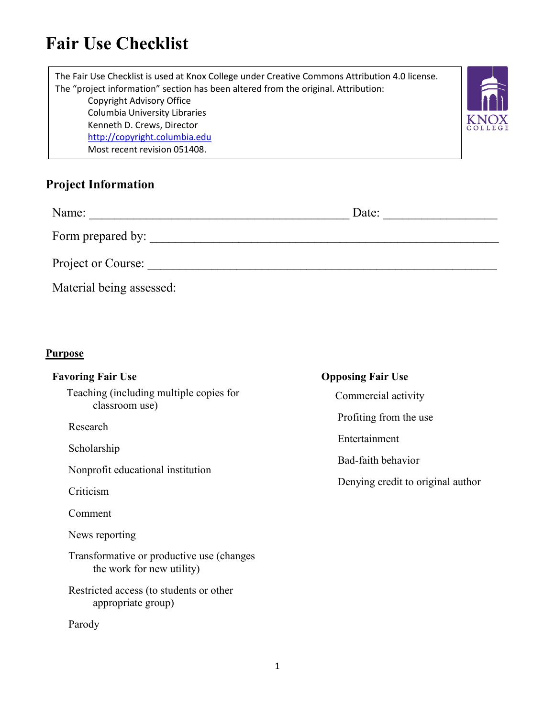## **Fair Use Checklist**

The Fair Use Checklist is used at Knox College under Creative Commons Attribution 4.0 license. The "project information" section has been altered from the original. Attribution: Copyright Advisory Office Columbia University Libraries Kenneth D. Crews, Director [http://copyright.columbia.edu](http://copyright.columbia.edu/) Most recent revision 051408.



| Name:                    | Date: |
|--------------------------|-------|
| Form prepared by:        |       |
| Project or Course:       |       |
| Material being assessed: |       |

#### **Purpose**

| <b>Favoring Fair Use</b><br>Teaching (including multiple copies for<br>classroom use)<br>Research<br>Scholarship<br>Nonprofit educational institution<br>Criticism    | <b>Opposing Fair Use</b><br>Commercial activity<br>Profiting from the use<br>Entertainment<br>Bad-faith behavior<br>Denying credit to original author |
|-----------------------------------------------------------------------------------------------------------------------------------------------------------------------|-------------------------------------------------------------------------------------------------------------------------------------------------------|
| Comment<br>News reporting<br>Transformative or productive use (changes)<br>the work for new utility)<br>Restricted access (to students or other<br>appropriate group) |                                                                                                                                                       |
| Parody                                                                                                                                                                |                                                                                                                                                       |